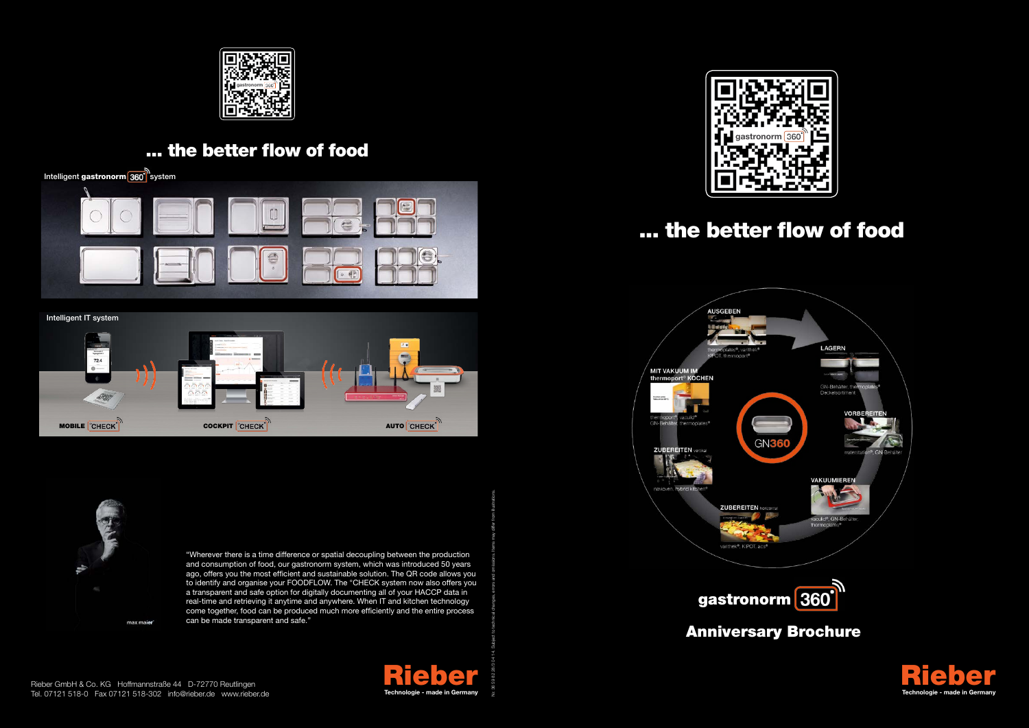"Wherever there is a time difference or spatial decoupling between the production and consumption of food, our gastronorm system, which was introduced 50 years ago, offers you the most efficient and sustainable solution. The QR code allows you to identify and organise your FOODFLOW. The °CHECK system now also offers you a transparent and safe option for digitally documenting all of your HACCP data in real-time and retrieving it anytime and anywhere. When IT and kitchen technology come together, food can be produced much more efficiently and the entire process can be made transparent and safe."









Nr. 36 59 82 28/3 04 14. Subject to technical changes, errors and omissions. Items may differ from illustrations.

## ... the better flow of food



### gastronorm 360

#### ... the better flow of food





Anniversary Brochure